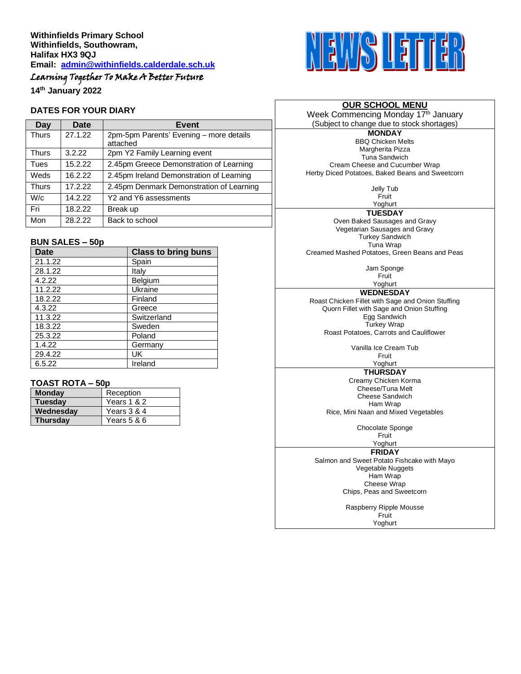# Learning Together To Make A Better Future

**14th January 2022**

#### **DATES FOR YOUR DIARY**

| Day          | Date    | Event                                               |  |
|--------------|---------|-----------------------------------------------------|--|
| <b>Thurs</b> | 27.1.22 | 2pm-5pm Parents' Evening - more details<br>attached |  |
| <b>Thurs</b> | 3.2.22  | 2pm Y2 Family Learning event                        |  |
| Tues         | 15.2.22 | 2.45pm Greece Demonstration of Learning             |  |
| Weds         | 16.2.22 | 2.45pm Ireland Demonstration of Learning            |  |
| <b>Thurs</b> | 17.2.22 | 2.45pm Denmark Demonstration of Learning            |  |
| W/c          | 14.2.22 | Y2 and Y6 assessments                               |  |
| Fri          | 18.2.22 | Break up                                            |  |
| Mon          | 28.2.22 | Back to school                                      |  |

#### **BUN SALES – 50p**

| <b>Date</b> | <b>Class to bring buns</b> |
|-------------|----------------------------|
| 21.1.22     | Spain                      |
| 28.1.22     | Italv                      |
| 4.2.22      | Belgium                    |
| 11.2.22     | Ukraine                    |
| 18.2.22     | Finland                    |
| 4.3.22      | Greece                     |
| 11.3.22     | Switzerland                |
| 18.3.22     | Sweden                     |
| 25.3.22     | Poland                     |
| 1.4.22      | Germany                    |
| 29.4.22     | UK                         |
| 6.5.22      | Ireland                    |

## **TOAST ROTA – 50p**

| <b>Monday</b>   | Reception   |
|-----------------|-------------|
| <b>Tuesday</b>  | Years 1 & 2 |
| Wednesday       | Years 3 & 4 |
| <b>Thursdav</b> | Years 5 & 6 |



#### **OUR SCHOOL MENU**

Week Commencing Monday 17<sup>th</sup> January (Subject to change due to stock shortages)

**MONDAY** BBQ Chicken Melts Margherita Pizza Tuna Sandwich Cream Cheese and Cucumber Wrap Herby Diced Potatoes, Baked Beans and Sweetcorn

> Jelly Tub Fruit

Yoghurt

**TUESDAY** Oven Baked Sausages and Gravy Vegetarian Sausages and Gravy Turkey Sandwich Tuna Wrap Creamed Mashed Potatoes, Green Beans and Peas

> Jam Sponge Fruit

Yoghurt **WEDNESDAY** Roast Chicken Fillet with Sage and Onion Stuffing Quorn Fillet with Sage and Onion Stuffing Egg Sandwich Turkey Wrap Roast Potatoes, Carrots and Cauliflower

> Vanilla Ice Cream Tub Fruit

# Yoghurt

**THURSDAY** Creamy Chicken Korma Cheese/Tuna Melt Cheese Sandwich Ham Wrap

Rice, Mini Naan and Mixed Vegetables

Chocolate Sponge Fruit

Yoghurt

#### **FRIDAY**

Salmon and Sweet Potato Fishcake with Mayo Vegetable Nuggets Ham Wrap Cheese Wrap Chips, Peas and Sweetcorn

> Raspberry Ripple Mousse **Fruit** Yoghurt